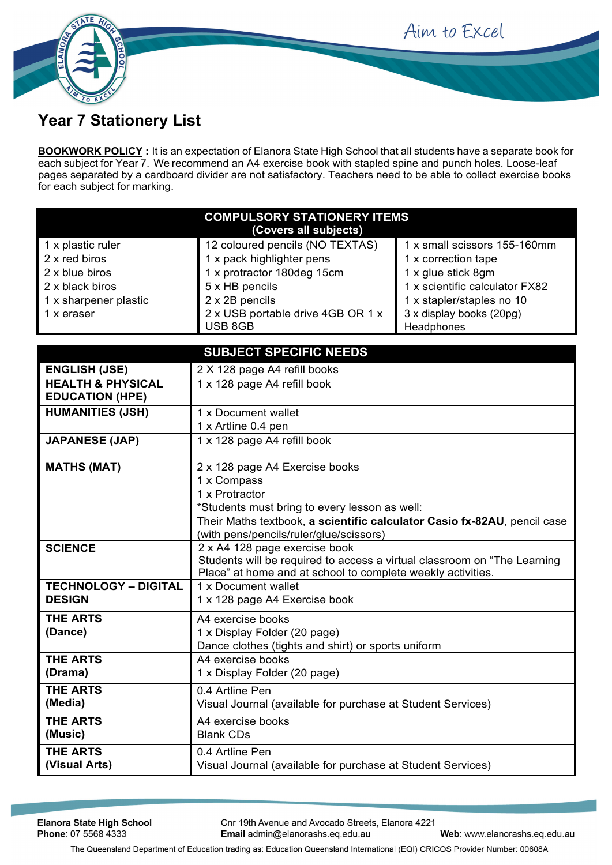Aim to Excel



## **Year 7 Stationery List**

**BOOKWORK POLICY :** It is an expectation of Elanora State High School that all students have a separate book for each subject for Year 7. We recommend an A4 exercise book with stapled spine and punch holes. Loose-leaf pages separated by a cardboard divider are not satisfactory. Teachers need to be able to collect exercise books for each subject for marking.

| <b>COMPULSORY STATIONERY ITEMS</b><br>(Covers all subjects) |                                              |                                        |  |
|-------------------------------------------------------------|----------------------------------------------|----------------------------------------|--|
| 1 x plastic ruler                                           | 12 coloured pencils (NO TEXTAS)              | 1 x small scissors 155-160mm           |  |
| 2 x red biros                                               | 1 x pack highlighter pens                    | 1 x correction tape                    |  |
| 2 x blue biros                                              | 1 x protractor 180deg 15cm                   | 1 x glue stick 8gm                     |  |
| 2 x black biros                                             | 5 x HB pencils                               | 1 x scientific calculator FX82         |  |
| 1 x sharpener plastic                                       | 2 x 2B pencils                               | 1 x stapler/staples no 10              |  |
| 1 x eraser                                                  | 2 x USB portable drive 4GB OR 1 x<br>USB 8GB | 3 x display books (20pg)<br>Headphones |  |

| <b>SUBJECT SPECIFIC NEEDS</b>                          |                                                                                    |  |
|--------------------------------------------------------|------------------------------------------------------------------------------------|--|
| <b>ENGLISH (JSE)</b>                                   | 2 X 128 page A4 refill books                                                       |  |
| <b>HEALTH &amp; PHYSICAL</b><br><b>EDUCATION (HPE)</b> | 1 x 128 page A4 refill book                                                        |  |
| <b>HUMANITIES (JSH)</b>                                | 1 x Document wallet                                                                |  |
|                                                        | 1 x Artline 0.4 pen                                                                |  |
| <b>JAPANESE (JAP)</b>                                  | 1 x 128 page A4 refill book                                                        |  |
| <b>MATHS (MAT)</b>                                     | 2 x 128 page A4 Exercise books                                                     |  |
|                                                        | 1 x Compass                                                                        |  |
|                                                        | 1 x Protractor                                                                     |  |
|                                                        | *Students must bring to every lesson as well:                                      |  |
|                                                        | Their Maths textbook, a scientific calculator Casio fx-82AU, pencil case           |  |
|                                                        | (with pens/pencils/ruler/glue/scissors)                                            |  |
| <b>SCIENCE</b>                                         | 2 x A4 128 page exercise book                                                      |  |
|                                                        | Students will be required to access a virtual classroom on "The Learning           |  |
| <b>TECHNOLOGY - DIGITAL</b>                            | Place" at home and at school to complete weekly activities.<br>1 x Document wallet |  |
| <b>DESIGN</b>                                          |                                                                                    |  |
|                                                        | 1 x 128 page A4 Exercise book                                                      |  |
| <b>THE ARTS</b>                                        | A4 exercise books                                                                  |  |
| (Dance)                                                | 1 x Display Folder (20 page)                                                       |  |
|                                                        | Dance clothes (tights and shirt) or sports uniform                                 |  |
| <b>THE ARTS</b>                                        | A4 exercise books                                                                  |  |
| (Drama)                                                | 1 x Display Folder (20 page)                                                       |  |
| <b>THE ARTS</b>                                        | 0.4 Artline Pen                                                                    |  |
| (Media)                                                | Visual Journal (available for purchase at Student Services)                        |  |
| <b>THE ARTS</b>                                        | A4 exercise books                                                                  |  |
| (Music)                                                | <b>Blank CDs</b>                                                                   |  |
| <b>THE ARTS</b>                                        | 0.4 Artline Pen                                                                    |  |
| (Visual Arts)                                          | Visual Journal (available for purchase at Student Services)                        |  |
|                                                        |                                                                                    |  |

Cnr 19th Avenue and Avocado Streets, Elanora 4221 Email admin@elanorashs.eq.edu.au